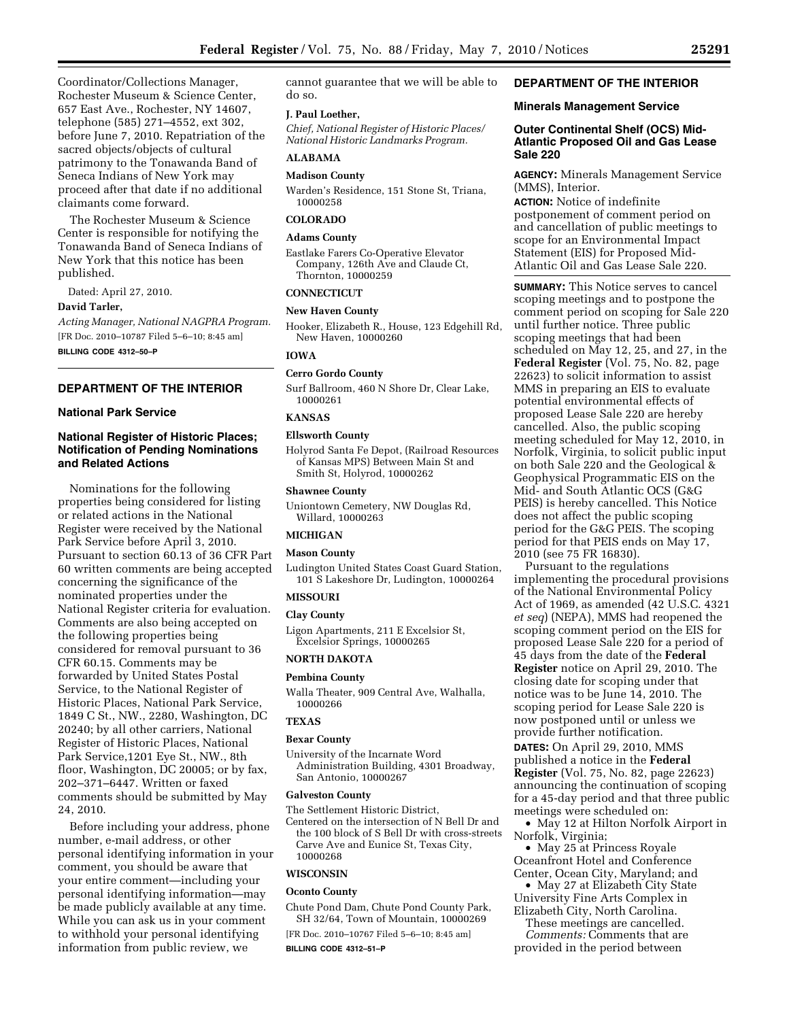Coordinator/Collections Manager, Rochester Museum & Science Center, 657 East Ave., Rochester, NY 14607, telephone (585) 271–4552, ext 302, before June 7, 2010. Repatriation of the sacred objects/objects of cultural patrimony to the Tonawanda Band of Seneca Indians of New York may proceed after that date if no additional claimants come forward.

The Rochester Museum & Science Center is responsible for notifying the Tonawanda Band of Seneca Indians of New York that this notice has been published.

Dated: April 27, 2010.

## **David Tarler,**

*Acting Manager, National NAGPRA Program.*  [FR Doc. 2010–10787 Filed 5–6–10; 8:45 am] **BILLING CODE 4312–50–P** 

## **DEPARTMENT OF THE INTERIOR**

## **National Park Service**

## **National Register of Historic Places; Notification of Pending Nominations and Related Actions**

Nominations for the following properties being considered for listing or related actions in the National Register were received by the National Park Service before April 3, 2010. Pursuant to section 60.13 of 36 CFR Part 60 written comments are being accepted concerning the significance of the nominated properties under the National Register criteria for evaluation. Comments are also being accepted on the following properties being considered for removal pursuant to 36 CFR 60.15. Comments may be forwarded by United States Postal Service, to the National Register of Historic Places, National Park Service, 1849 C St., NW., 2280, Washington, DC 20240; by all other carriers, National Register of Historic Places, National Park Service,1201 Eye St., NW., 8th floor, Washington, DC 20005; or by fax, 202–371–6447. Written or faxed comments should be submitted by May 24, 2010.

Before including your address, phone number, e-mail address, or other personal identifying information in your comment, you should be aware that your entire comment—including your personal identifying information—may be made publicly available at any time. While you can ask us in your comment to withhold your personal identifying information from public review, we

cannot guarantee that we will be able to do so.

#### **J. Paul Loether,**

*Chief, National Register of Historic Places/ National Historic Landmarks Program.* 

#### **ALABAMA**

**Madison County** 

Warden's Residence, 151 Stone St, Triana, 10000258

## **COLORADO**

#### **Adams County**

Eastlake Farers Co-Operative Elevator Company, 126th Ave and Claude Ct, Thornton, 10000259

#### **CONNECTICUT**

#### **New Haven County**

Hooker, Elizabeth R., House, 123 Edgehill Rd, New Haven, 10000260

#### **IOWA**

## **Cerro Gordo County**

Surf Ballroom, 460 N Shore Dr, Clear Lake, 10000261

## **KANSAS**

#### **Ellsworth County**

Holyrod Santa Fe Depot, (Railroad Resources of Kansas MPS) Between Main St and Smith St, Holyrod, 10000262

#### **Shawnee County**

Uniontown Cemetery, NW Douglas Rd, Willard, 10000263

## **MICHIGAN**

### **Mason County**

Ludington United States Coast Guard Station, 101 S Lakeshore Dr, Ludington, 10000264

#### **MISSOURI**

#### **Clay County**

Ligon Apartments, 211 E Excelsior St, Excelsior Springs, 10000265

## **NORTH DAKOTA**

## **Pembina County**

Walla Theater, 909 Central Ave, Walhalla, 10000266

# **TEXAS**

## **Bexar County**

University of the Incarnate Word Administration Building, 4301 Broadway, San Antonio, 10000267

#### **Galveston County**

The Settlement Historic District, Centered on the intersection of N Bell Dr and the 100 block of S Bell Dr with cross-streets Carve Ave and Eunice St, Texas City, 10000268

#### **WISCONSIN**

#### **Oconto County**

Chute Pond Dam, Chute Pond County Park, SH 32/64, Town of Mountain, 10000269

[FR Doc. 2010–10767 Filed 5–6–10; 8:45 am] **BILLING CODE 4312–51–P** 

## **DEPARTMENT OF THE INTERIOR**

## **Minerals Management Service**

## **Outer Continental Shelf (OCS) Mid-Atlantic Proposed Oil and Gas Lease Sale 220**

**AGENCY:** Minerals Management Service (MMS), Interior.

**ACTION:** Notice of indefinite postponement of comment period on and cancellation of public meetings to scope for an Environmental Impact Statement (EIS) for Proposed Mid-Atlantic Oil and Gas Lease Sale 220.

**SUMMARY:** This Notice serves to cancel scoping meetings and to postpone the comment period on scoping for Sale 220 until further notice. Three public scoping meetings that had been scheduled on May 12, 25, and 27, in the **Federal Register** (Vol. 75, No. 82, page 22623) to solicit information to assist MMS in preparing an EIS to evaluate potential environmental effects of proposed Lease Sale 220 are hereby cancelled. Also, the public scoping meeting scheduled for May 12, 2010, in Norfolk, Virginia, to solicit public input on both Sale 220 and the Geological & Geophysical Programmatic EIS on the Mid- and South Atlantic OCS (G&G PEIS) is hereby cancelled. This Notice does not affect the public scoping period for the G&G PEIS. The scoping period for that PEIS ends on May 17, 2010 (see 75 FR 16830).

Pursuant to the regulations implementing the procedural provisions of the National Environmental Policy Act of 1969, as amended (42 U.S.C. 4321 *et seq*) (NEPA), MMS had reopened the scoping comment period on the EIS for proposed Lease Sale 220 for a period of 45 days from the date of the **Federal Register** notice on April 29, 2010. The closing date for scoping under that notice was to be June 14, 2010. The scoping period for Lease Sale 220 is now postponed until or unless we provide further notification. **DATES:** On April 29, 2010, MMS published a notice in the **Federal Register** (Vol. 75, No. 82, page 22623) announcing the continuation of scoping for a 45-day period and that three public meetings were scheduled on:

• May 12 at Hilton Norfolk Airport in Norfolk, Virginia;

• May 25 at Princess Royale Oceanfront Hotel and Conference Center, Ocean City, Maryland; and

• May 27 at Elizabeth City State University Fine Arts Complex in

Elizabeth City, North Carolina. These meetings are cancelled. *Comments:* Comments that are

provided in the period between